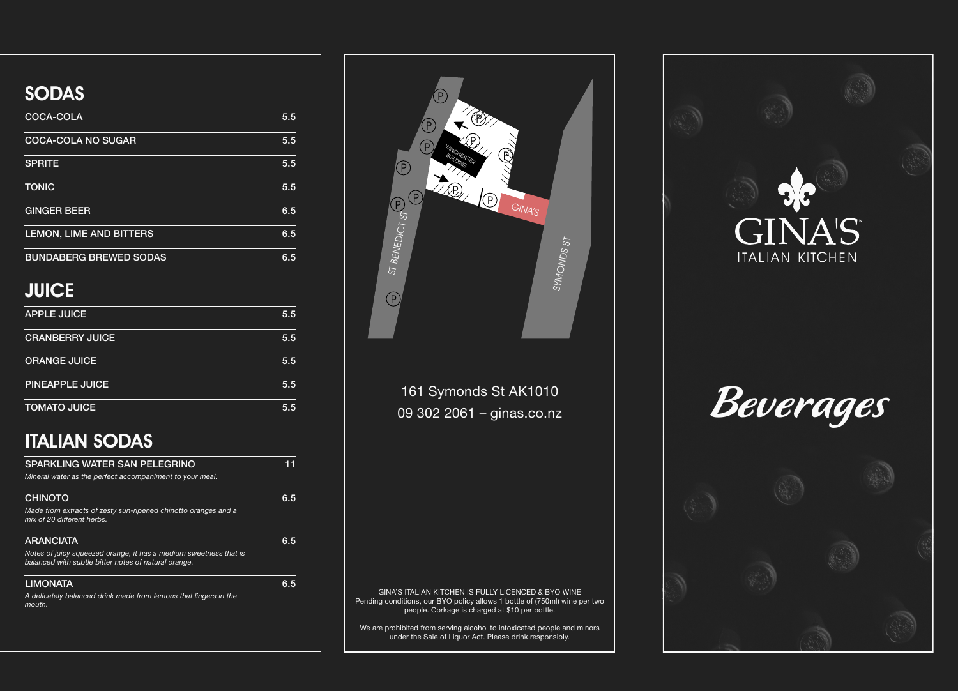

| <b>COCA-COLA</b>               | 5.5 |
|--------------------------------|-----|
| <b>COCA-COLA NO SUGAR</b>      | 5.5 |
| <b>SPRITE</b>                  | 5.5 |
| <b>TONIC</b>                   | 5.5 |
| <b>GINGER BEER</b>             | 6.5 |
| <b>LEMON, LIME AND BITTERS</b> | 6.5 |
| <b>BUNDABERG BREWED SODAS</b>  | 6.5 |



### **JUICE**

| <b>APPLE JUICE</b>     | 5.5 |
|------------------------|-----|
| <b>CRANBERRY JUICE</b> | 5.5 |
| <b>ORANGE JUICE</b>    | 5.5 |
| <b>PINEAPPLE JUICE</b> | 5.5 |
| <b>TOMATO JUICE</b>    | 5.5 |

### SODAS

# ITALIAN SODAS

| <b>SPARKLING WATER SAN PELEGRINO</b><br>Mineral water as the perfect accompaniment to your meal.                          |     |
|---------------------------------------------------------------------------------------------------------------------------|-----|
| <b>CHINOTO</b>                                                                                                            | 6.5 |
| Made from extracts of zesty sun-ripened chinotto oranges and a<br>mix of 20 different herbs.                              |     |
| <b>ARANCIATA</b>                                                                                                          | հ 5 |
| Notes of juicy squeezed orange, it has a medium sweetness that is<br>balanced with subtle bitter notes of natural orange. |     |
| <b>LIMONATA</b>                                                                                                           |     |

*A delicately balanced drink made from lemons that lingers in the mouth.*

161 Symonds St AK1010 09 302 2061 – ginas.co.nz

GINA'S ITALIAN KITCHEN IS FULLY LICENCED & BYO WINE Pending conditions, our BYO policy allows 1 bottle of (750ml) wine per two people. Corkage is charged at \$10 per bottle.

We are prohibited from serving alcohol to intoxicated people and minors under the Sale of Liquor Act. Please drink responsibly.